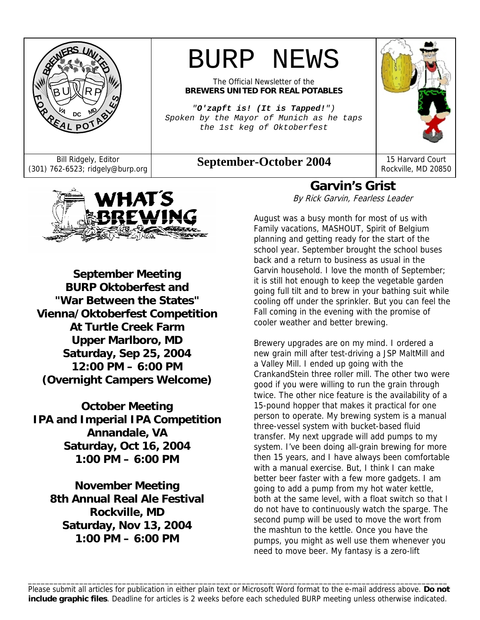

# BURP NEWS

The Official Newsletter of the **BREWERS UNITED FOR REAL POTABLES**

*"O'zapft is! (It is Tapped!") Spoken by the Mayor of Munich as he taps the 1st keg of Oktoberfest* 

Bill Ridgely, Editor **September-October 2004** 15 Harvard Court (301) 762-6523; ridgely@burp.org **September-October 2004** 



Rockville, MD 20850



**September Meeting BURP Oktoberfest and "War Between the States" Vienna/Oktoberfest Competition At Turtle Creek Farm Upper Marlboro, MD Saturday, Sep 25, 2004 12:00 PM – 6:00 PM (Overnight Campers Welcome)**

**October Meeting IPA and Imperial IPA Competition Annandale, VA Saturday, Oct 16, 2004 1:00 PM – 6:00 PM** 

**November Meeting 8th Annual Real Ale Festival Rockville, MD Saturday, Nov 13, 2004 1:00 PM – 6:00 PM** 

**Garvin's Grist**  By Rick Garvin, Fearless Leader

August was a busy month for most of us with Family vacations, MASHOUT, Spirit of Belgium planning and getting ready for the start of the school year. September brought the school buses back and a return to business as usual in the Garvin household. I love the month of September; it is still hot enough to keep the vegetable garden going full tilt and to brew in your bathing suit while cooling off under the sprinkler. But you can feel the Fall coming in the evening with the promise of cooler weather and better brewing.

Brewery upgrades are on my mind. I ordered a new grain mill after test-driving a JSP MaltMill and a Valley Mill. I ended up going with the CrankandStein three roller mill. The other two were good if you were willing to run the grain through twice. The other nice feature is the availability of a 15-pound hopper that makes it practical for one person to operate. My brewing system is a manual three-vessel system with bucket-based fluid transfer. My next upgrade will add pumps to my system. I've been doing all-grain brewing for more then 15 years, and I have always been comfortable with a manual exercise. But, I think I can make better beer faster with a few more gadgets. I am going to add a pump from my hot water kettle, both at the same level, with a float switch so that I do not have to continuously watch the sparge. The second pump will be used to move the wort from the mashtun to the kettle. Once you have the pumps, you might as well use them whenever you need to move beer. My fantasy is a zero-lift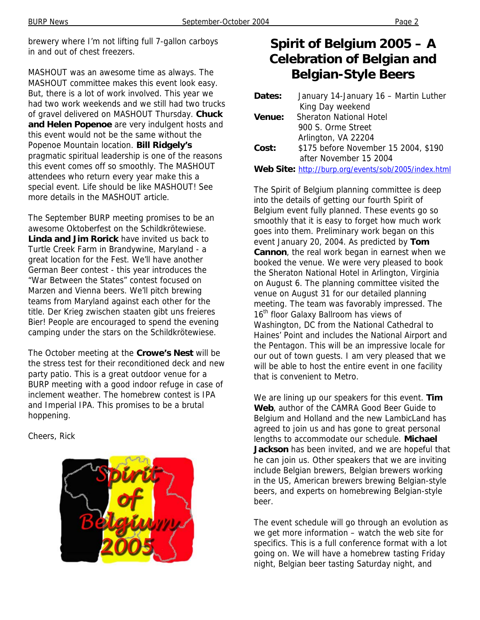brewery where I'm not lifting full 7-gallon carboys in and out of chest freezers.

MASHOUT was an awesome time as always. The MASHOUT committee makes this event look easy. But, there is a lot of work involved. This year we had two work weekends and we still had two trucks of gravel delivered on MASHOUT Thursday. **Chuck and Helen Popenoe** are very indulgent hosts and this event would not be the same without the Popenoe Mountain location. **Bill Ridgely's** pragmatic spiritual leadership is one of the reasons this event comes off so smoothly. The MASHOUT attendees who return every year make this a special event. Life should be like MASHOUT! See more details in the MASHOUT article.

The September BURP meeting promises to be an awesome Oktoberfest on the Schildkrötewiese. **Linda and Jim Rorick** have invited us back to Turtle Creek Farm in Brandywine, Maryland - a great location for the Fest. We'll have another German Beer contest - this year introduces the "War Between the States" contest focused on Marzen and Vienna beers. We'll pitch brewing teams from Maryland against each other for the title. Der Krieg zwischen staaten gibt uns freieres Bier! People are encouraged to spend the evening camping under the stars on the Schildkrötewiese.

The October meeting at the **Crowe's Nest** will be the stress test for their reconditioned deck and new party patio. This is a great outdoor venue for a BURP meeting with a good indoor refuge in case of inclement weather. The homebrew contest is IPA and Imperial IPA. This promises to be a brutal hoppening.

Cheers, Rick



# **Spirit of Belgium 2005 – A Celebration of Belgian and Belgian-Style Beers**

| Dates: | January 14-January 16 - Martin Luther                |
|--------|------------------------------------------------------|
|        | King Day weekend                                     |
| Venue: | <b>Sheraton National Hotel</b>                       |
|        | 900 S. Orme Street                                   |
|        | Arlington, VA 22204                                  |
| Cost:  | \$175 before November 15 2004, \$190                 |
|        | after November 15 2004                               |
|        | Web Site: http://burp.org/events/sob/2005/index.html |

The Spirit of Belgium planning committee is deep into the details of getting our fourth Spirit of Belgium event fully planned. These events go so smoothly that it is easy to forget how much work goes into them. Preliminary work began on this event January 20, 2004. As predicted by **Tom Cannon**, the real work began in earnest when we booked the venue. We were very pleased to book the Sheraton National Hotel in Arlington, Virginia on August 6. The planning committee visited the venue on August 31 for our detailed planning meeting. The team was favorably impressed. The 16<sup>th</sup> floor Galaxy Ballroom has views of Washington, DC from the National Cathedral to Haines' Point and includes the National Airport and the Pentagon. This will be an impressive locale for our out of town guests. I am very pleased that we will be able to host the entire event in one facility that is convenient to Metro.

We are lining up our speakers for this event. **Tim Web**, author of the CAMRA Good Beer Guide to Belgium and Holland and the new LambicLand has agreed to join us and has gone to great personal lengths to accommodate our schedule. **Michael Jackson** has been invited, and we are hopeful that he can join us. Other speakers that we are inviting include Belgian brewers, Belgian brewers working in the US, American brewers brewing Belgian-style beers, and experts on homebrewing Belgian-style beer.

The event schedule will go through an evolution as we get more information – watch the web site for specifics. This is a full conference format with a lot going on. We will have a homebrew tasting Friday night, Belgian beer tasting Saturday night, and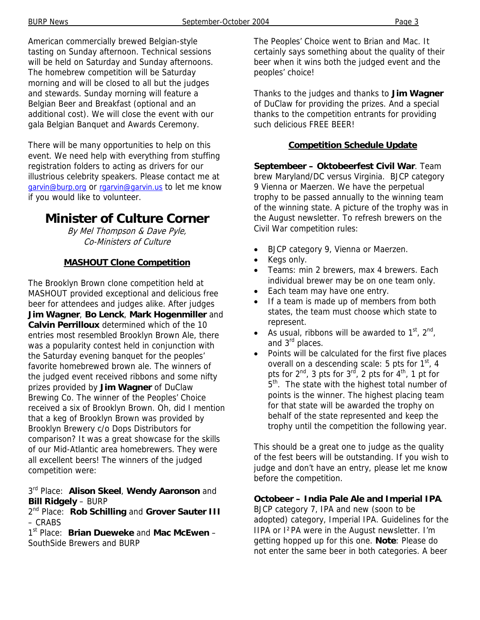American commercially brewed Belgian-style tasting on Sunday afternoon. Technical sessions will be held on Saturday and Sunday afternoons. The homebrew competition will be Saturday morning and will be closed to all but the judges and stewards. Sunday morning will feature a Belgian Beer and Breakfast (optional and an additional cost). We will close the event with our gala Belgian Banquet and Awards Ceremony.

There will be many opportunities to help on this event. We need help with everything from stuffing registration folders to acting as drivers for our illustrious celebrity speakers. Please contact me at garvin@burp.org or rgarvin@garvin.us to let me know if you would like to volunteer.

### **Minister of Culture Corner**

By Mel Thompson & Dave Pyle, Co-Ministers of Culture

### **MASHOUT Clone Competition**

The Brooklyn Brown clone competition held at MASHOUT provided exceptional and delicious free beer for attendees and judges alike. After judges **Jim Wagner**, **Bo Lenck**, **Mark Hogenmiller** and **Calvin Perrilloux** determined which of the 10 entries most resembled Brooklyn Brown Ale, there was a popularity contest held in conjunction with the Saturday evening banquet for the peoples' favorite homebrewed brown ale. The winners of the judged event received ribbons and some nifty prizes provided by **Jim Wagner** of DuClaw Brewing Co. The winner of the Peoples' Choice received a six of Brooklyn Brown. Oh, did I mention that a keg of Brooklyn Brown was provided by Brooklyn Brewery c/o Dops Distributors for comparison? It was a great showcase for the skills of our Mid-Atlantic area homebrewers. They were all excellent beers! The winners of the judged competition were:

3rd Place: **Alison Skeel**, **Wendy Aaronson** and **Bill Ridgely** – BURP

2nd Place: **Rob Schilling** and **Grover Sauter III** – CRABS

1st Place: **Brian Dueweke** and **Mac McEwen** – SouthSide Brewers and BURP

The Peoples' Choice went to Brian and Mac. It certainly says something about the quality of their beer when it wins both the judged event and the peoples' choice!

Thanks to the judges and thanks to **Jim Wagner** of DuClaw for providing the prizes. And a special thanks to the competition entrants for providing such delicious FREE BEER!

### **Competition Schedule Update**

**Septembeer – Oktobeerfest Civil War**. Team brew Maryland/DC versus Virginia. BJCP category 9 Vienna or Maerzen. We have the perpetual trophy to be passed annually to the winning team of the winning state. A picture of the trophy was in the August newsletter. To refresh brewers on the Civil War competition rules:

- BJCP category 9, Vienna or Maerzen.
- Kegs only.
- Teams: min 2 brewers, max 4 brewers. Each individual brewer may be on one team only.
- Each team may have one entry.
- If a team is made up of members from both states, the team must choose which state to represent.
- As usual, ribbons will be awarded to  $1<sup>st</sup>$ ,  $2<sup>nd</sup>$ , and 3<sup>rd</sup> places.
- Points will be calculated for the first five places overall on a descending scale: 5 pts for  $1<sup>st</sup>$ , 4 pts for  $2^{nd}$ , 3 pts for  $3^{rd}$ , 2 pts for  $4^{th}$ , 1 pt for 5<sup>th</sup>. The state with the highest total number of points is the winner. The highest placing team for that state will be awarded the trophy on behalf of the state represented and keep the trophy until the competition the following year.

This should be a great one to judge as the quality of the fest beers will be outstanding. If you wish to judge and don't have an entry, please let me know before the competition.

### **Octobeer – India Pale Ale and Imperial IPA**.

BJCP category 7, IPA and new (soon to be adopted) category, Imperial IPA. Guidelines for the IIPA or I²PA were in the August newsletter. I'm getting hopped up for this one. **Note**: Please do not enter the same beer in both categories. A beer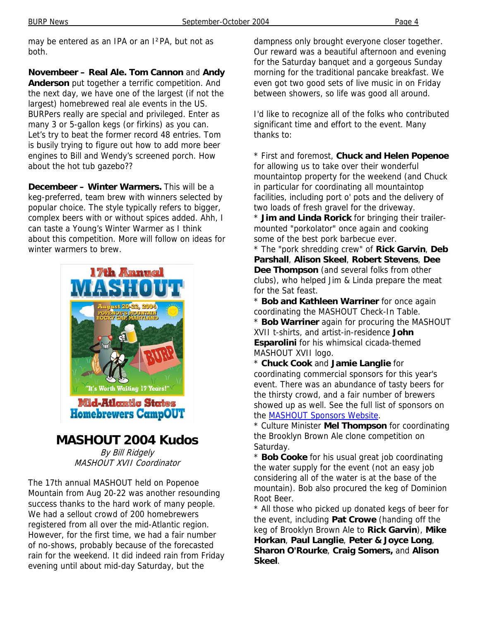may be entered as an IPA or an I²PA, but not as both.

**Novembeer – Real Ale. Tom Cannon** and **Andy Anderson** put together a terrific competition. And the next day, we have one of the largest (if not the largest) homebrewed real ale events in the US. BURPers really are special and privileged. Enter as many 3 or 5-gallon kegs (or firkins) as you can. Let's try to beat the former record 48 entries. Tom is busily trying to figure out how to add more beer engines to Bill and Wendy's screened porch. How about the hot tub gazebo??

**Decembeer – Winter Warmers.** This will be a keg-preferred, team brew with winners selected by popular choice. The style typically refers to bigger, complex beers with or without spices added. Ahh, I can taste a Young's Winter Warmer as I think about this competition. More will follow on ideas for winter warmers to brew.



**MASHOUT 2004 Kudos** By Bill Ridgely

MASHOUT XVII Coordinator

The 17th annual MASHOUT held on Popenoe Mountain from Aug 20-22 was another resounding success thanks to the hard work of many people. We had a sellout crowd of 200 homebrewers registered from all over the mid-Atlantic region. However, for the first time, we had a fair number of no-shows, probably because of the forecasted rain for the weekend. It did indeed rain from Friday evening until about mid-day Saturday, but the

dampness only brought everyone closer together. Our reward was a beautiful afternoon and evening for the Saturday banquet and a gorgeous Sunday morning for the traditional pancake breakfast. We even got two good sets of live music in on Friday between showers, so life was good all around.

I'd like to recognize all of the folks who contributed significant time and effort to the event. Many thanks to:

\* First and foremost, **Chuck and Helen Popenoe** for allowing us to take over their wonderful mountaintop property for the weekend (and Chuck in particular for coordinating all mountaintop facilities, including port o' pots and the delivery of two loads of fresh gravel for the driveway.

\* **Jim and Linda Rorick** for bringing their trailermounted "porkolator" once again and cooking some of the best pork barbecue ever.

\* The "pork shredding crew" of **Rick Garvin**, **Deb Parshall**, **Alison Skeel**, **Robert Stevens**, **Dee Dee Thompson** (and several folks from other clubs), who helped Jim & Linda prepare the meat for the Sat feast.

\* **Bob and Kathleen Warriner** for once again coordinating the MASHOUT Check-In Table. \* **Bob Warriner** again for procuring the MASHOUT XVII t-shirts, and artist-in-residence **John Esparolini** for his whimsical cicada-themed MASHOUT XVII logo.

\* **Chuck Cook** and **Jamie Langlie** for coordinating commercial sponsors for this year's event. There was an abundance of tasty beers for the thirsty crowd, and a fair number of brewers showed up as well. See the full list of sponsors on the MASHOUT Sponsors Website.

\* Culture Minister **Mel Thompson** for coordinating the Brooklyn Brown Ale clone competition on Saturday.

\* **Bob Cooke** for his usual great job coordinating the water supply for the event (not an easy job considering all of the water is at the base of the mountain). Bob also procured the keg of Dominion Root Beer.

\* All those who picked up donated kegs of beer for the event, including **Pat Crowe** (handing off the keg of Brooklyn Brown Ale to **Rick Garvin**), **Mike Horkan**, **Paul Langlie**, **Peter & Joyce Long**, **Sharon O'Rourke**, **Craig Somers,** and **Alison Skeel**.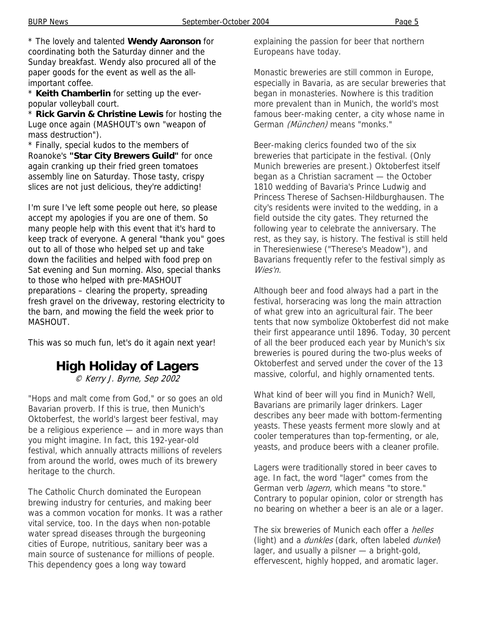\* The lovely and talented **Wendy Aaronson** for coordinating both the Saturday dinner and the Sunday breakfast. Wendy also procured all of the paper goods for the event as well as the allimportant coffee.

\* **Keith Chamberlin** for setting up the everpopular volleyball court.

\* **Rick Garvin & Christine Lewis** for hosting the Luge once again (MASHOUT's own "weapon of mass destruction").

\* Finally, special kudos to the members of Roanoke's **"Star City Brewers Guild"** for once again cranking up their fried green tomatoes assembly line on Saturday. Those tasty, crispy slices are not just delicious, they're addicting!

I'm sure I've left some people out here, so please accept my apologies if you are one of them. So many people help with this event that it's hard to keep track of everyone. A general "thank you" goes out to all of those who helped set up and take down the facilities and helped with food prep on Sat evening and Sun morning. Also, special thanks to those who helped with pre-MASHOUT preparations – clearing the property, spreading fresh gravel on the driveway, restoring electricity to the barn, and mowing the field the week prior to MASHOUT.

This was so much fun, let's do it again next year!

# **High Holiday of Lagers**

© Kerry J. Byrne, Sep 2002

"Hops and malt come from God," or so goes an old Bavarian proverb. If this is true, then Munich's Oktoberfest, the world's largest beer festival, may be a religious experience — and in more ways than you might imagine. In fact, this 192-year-old festival, which annually attracts millions of revelers from around the world, owes much of its brewery heritage to the church.

The Catholic Church dominated the European brewing industry for centuries, and making beer was a common vocation for monks. It was a rather vital service, too. In the days when non-potable water spread diseases through the burgeoning cities of Europe, nutritious, sanitary beer was a main source of sustenance for millions of people. This dependency goes a long way toward

explaining the passion for beer that northern Europeans have today.

Monastic breweries are still common in Europe, especially in Bavaria, as are secular breweries that began in monasteries. Nowhere is this tradition more prevalent than in Munich, the world's most famous beer-making center, a city whose name in German (München) means "monks."

Beer-making clerics founded two of the six breweries that participate in the festival. (Only Munich breweries are present.) Oktoberfest itself began as a Christian sacrament — the October 1810 wedding of Bavaria's Prince Ludwig and Princess Therese of Sachsen-Hildburghausen. The city's residents were invited to the wedding, in a field outside the city gates. They returned the following year to celebrate the anniversary. The rest, as they say, is history. The festival is still held in Theresienwiese ("Therese's Meadow"), and Bavarians frequently refer to the festival simply as Wies'n.

Although beer and food always had a part in the festival, horseracing was long the main attraction of what grew into an agricultural fair. The beer tents that now symbolize Oktoberfest did not make their first appearance until 1896. Today, 30 percent of all the beer produced each year by Munich's six breweries is poured during the two-plus weeks of Oktoberfest and served under the cover of the 13 massive, colorful, and highly ornamented tents.

What kind of beer will you find in Munich? Well, Bavarians are primarily lager drinkers. Lager describes any beer made with bottom-fermenting yeasts. These yeasts ferment more slowly and at cooler temperatures than top-fermenting, or ale, yeasts, and produce beers with a cleaner profile.

Lagers were traditionally stored in beer caves to age. In fact, the word "lager" comes from the German verb *lagern*, which means "to store." Contrary to popular opinion, color or strength has no bearing on whether a beer is an ale or a lager.

The six breweries of Munich each offer a *helles* (light) and a *dunkles* (dark, often labeled *dunkel*) lager, and usually a pilsner — a bright-gold, effervescent, highly hopped, and aromatic lager.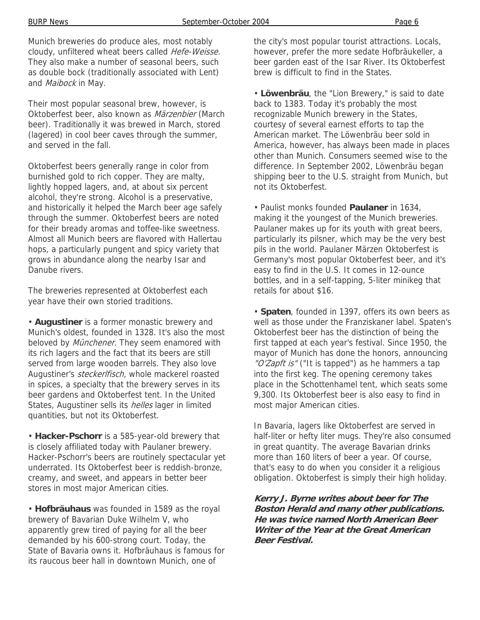Munich breweries do produce ales, most notably cloudy, unfiltered wheat beers called Hefe-Weisse. They also make a number of seasonal beers, such as double bock (traditionally associated with Lent) and Maibock in May.

Their most popular seasonal brew, however, is Oktoberfest beer, also known as Märzenbier (March beer). Traditionally it was brewed in March, stored (lagered) in cool beer caves through the summer, and served in the fall.

Oktoberfest beers generally range in color from burnished gold to rich copper. They are malty, lightly hopped lagers, and, at about six percent alcohol, they're strong. Alcohol is a preservative, and historically it helped the March beer age safely through the summer. Oktoberfest beers are noted for their bready aromas and toffee-like sweetness. Almost all Munich beers are flavored with Hallertau hops, a particularly pungent and spicy variety that grows in abundance along the nearby Isar and Danube rivers.

The breweries represented at Oktoberfest each year have their own storied traditions.

• **Augustiner** is a former monastic brewery and Munich's oldest, founded in 1328. It's also the most beloved by *Münchener*. They seem enamored with its rich lagers and the fact that its beers are still served from large wooden barrels. They also love Augustiner's *steckerlfisch*, whole mackerel roasted in spices, a specialty that the brewery serves in its beer gardens and Oktoberfest tent. In the United States, Augustiner sells its *helles* lager in limited quantities, but not its Oktoberfest.

• **Hacker-Pschorr** is a 585-year-old brewery that is closely affiliated today with Paulaner brewery. Hacker-Pschorr's beers are routinely spectacular yet underrated. Its Oktoberfest beer is reddish-bronze, creamy, and sweet, and appears in better beer stores in most major American cities.

• **Hofbräuhaus** was founded in 1589 as the royal brewery of Bavarian Duke Wilhelm V, who apparently grew tired of paying for all the beer demanded by his 600-strong court. Today, the State of Bavaria owns it. Hofbräuhaus is famous for its raucous beer hall in downtown Munich, one of

the city's most popular tourist attractions. Locals, however, prefer the more sedate Hofbräukeller, a beer garden east of the Isar River. Its Oktoberfest brew is difficult to find in the States.

• **Löwenbräu**, the "Lion Brewery," is said to date back to 1383. Today it's probably the most recognizable Munich brewery in the States, courtesy of several earnest efforts to tap the American market. The Löwenbräu beer sold in America, however, has always been made in places other than Munich. Consumers seemed wise to the difference. In September 2002, Löwenbräu began shipping beer to the U.S. straight from Munich, but not its Oktoberfest.

• Paulist monks founded **Paulaner** in 1634, making it the youngest of the Munich breweries. Paulaner makes up for its youth with great beers, particularly its pilsner, which may be the very best pils in the world. Paulaner Märzen Oktoberfest is Germany's most popular Oktoberfest beer, and it's easy to find in the U.S. It comes in 12-ounce bottles, and in a self-tapping, 5-liter minikeg that retails for about \$16.

• **Spaten**, founded in 1397, offers its own beers as well as those under the Franziskaner label. Spaten's Oktoberfest beer has the distinction of being the first tapped at each year's festival. Since 1950, the mayor of Munich has done the honors, announcing "O'Zapft is" ("It is tapped") as he hammers a tap into the first keg. The opening ceremony takes place in the Schottenhamel tent, which seats some 9,300. Its Oktoberfest beer is also easy to find in most major American cities.

In Bavaria, lagers like Oktoberfest are served in half-liter or hefty liter mugs. They're also consumed in great quantity. The average Bavarian drinks more than 160 liters of beer a year. Of course, that's easy to do when you consider it a religious obligation. Oktoberfest is simply their high holiday.

**Kerry J. Byrne writes about beer for The Boston Herald and many other publications. He was twice named North American Beer Writer of the Year at the Great American Beer Festival.**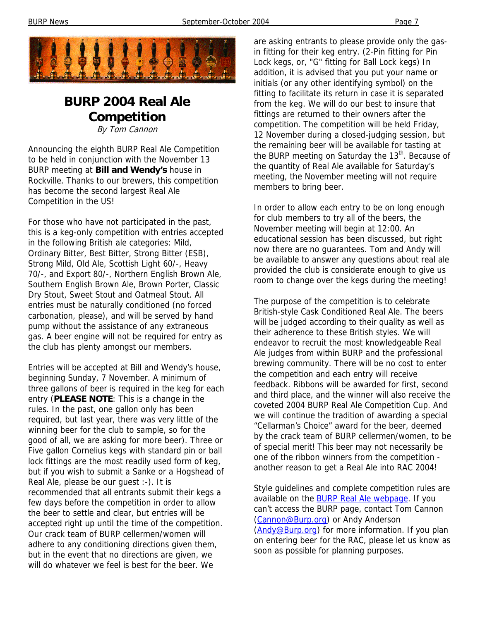

# **BURP 2004 Real Ale Competition**

By Tom Cannon

Announcing the eighth BURP Real Ale Competition to be held in conjunction with the November 13 BURP meeting at **Bill and Wendy's** house in Rockville. Thanks to our brewers, this competition has become the second largest Real Ale Competition in the US!

For those who have not participated in the past, this is a keg-only competition with entries accepted in the following British ale categories: Mild, Ordinary Bitter, Best Bitter, Strong Bitter (ESB), Strong Mild, Old Ale, Scottish Light 60/-, Heavy 70/-, and Export 80/-, Northern English Brown Ale, Southern English Brown Ale, Brown Porter, Classic Dry Stout, Sweet Stout and Oatmeal Stout. All entries must be naturally conditioned (no forced carbonation, please), and will be served by hand pump without the assistance of any extraneous gas. A beer engine will not be required for entry as the club has plenty amongst our members.

Entries will be accepted at Bill and Wendy's house, beginning Sunday, 7 November. A minimum of three gallons of beer is required in the keg for each entry (**PLEASE NOTE**: This is a change in the rules. In the past, one gallon only has been required, but last year, there was very little of the winning beer for the club to sample, so for the good of all, we are asking for more beer). Three or Five gallon Cornelius kegs with standard pin or ball lock fittings are the most readily used form of keg, but if you wish to submit a Sanke or a Hogshead of Real Ale, please be our guest :-). It is recommended that all entrants submit their kegs a few days before the competition in order to allow the beer to settle and clear, but entries will be accepted right up until the time of the competition. Our crack team of BURP cellermen/women will adhere to any conditioning directions given them, but in the event that no directions are given, we will do whatever we feel is best for the beer. We

are asking entrants to please provide only the gasin fitting for their keg entry. (2-Pin fitting for Pin Lock kegs, or, "G" fitting for Ball Lock kegs) In addition, it is advised that you put your name or initials (or any other identifying symbol) on the fitting to facilitate its return in case it is separated from the keg. We will do our best to insure that fittings are returned to their owners after the competition. The competition will be held Friday, 12 November during a closed-judging session, but the remaining beer will be available for tasting at the BURP meeting on Saturday the 13<sup>th</sup>. Because of the quantity of Real Ale available for Saturday's meeting, the November meeting will not require members to bring beer.

In order to allow each entry to be on long enough for club members to try all of the beers, the November meeting will begin at 12:00. An educational session has been discussed, but right now there are no guarantees. Tom and Andy will be available to answer any questions about real ale provided the club is considerate enough to give us room to change over the kegs during the meeting!

The purpose of the competition is to celebrate British-style Cask Conditioned Real Ale. The beers will be judged according to their quality as well as their adherence to these British styles. We will endeavor to recruit the most knowledgeable Real Ale judges from within BURP and the professional brewing community. There will be no cost to enter the competition and each entry will receive feedback. Ribbons will be awarded for first, second and third place, and the winner will also receive the coveted 2004 BURP Real Ale Competition Cup. And we will continue the tradition of awarding a special "Cellarman's Choice" award for the beer, deemed by the crack team of BURP cellermen/women, to be of special merit! This beer may not necessarily be one of the ribbon winners from the competition another reason to get a Real Ale into RAC 2004!

Style guidelines and complete competition rules are available on the **BURP Real Ale webpage**. If you can't access the BURP page, contact Tom Cannon (Cannon@Burp.org) or Andy Anderson (Andy@Burp.org) for more information. If you plan on entering beer for the RAC, please let us know as soon as possible for planning purposes.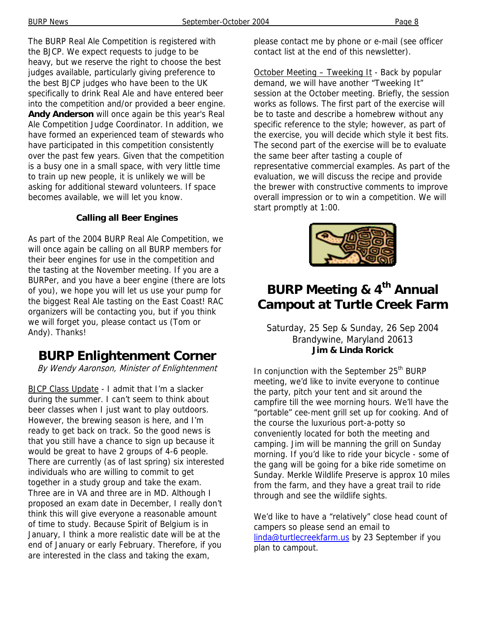The BURP Real Ale Competition is registered with the BJCP. We expect requests to judge to be heavy, but we reserve the right to choose the best judges available, particularly giving preference to the best BJCP judges who have been to the UK specifically to drink Real Ale and have entered beer into the competition and/or provided a beer engine. **Andy Anderson** will once again be this year's Real Ale Competition Judge Coordinator. In addition, we have formed an experienced team of stewards who have participated in this competition consistently over the past few years. Given that the competition is a busy one in a small space, with very little time to train up new people, it is unlikely we will be asking for additional steward volunteers. If space becomes available, we will let you know.

### **Calling all Beer Engines**

As part of the 2004 BURP Real Ale Competition, we will once again be calling on all BURP members for their beer engines for use in the competition and the tasting at the November meeting. If you are a BURPer, and you have a beer engine (there are lots of you), we hope you will let us use your pump for the biggest Real Ale tasting on the East Coast! RAC organizers will be contacting you, but if you think we will forget you, please contact us (Tom or Andy). Thanks!

### **BURP Enlightenment Corner**

By Wendy Aaronson, Minister of Enlightenment

BJCP Class Update - I admit that I'm a slacker during the summer. I can't seem to think about beer classes when I just want to play outdoors. However, the brewing season is here, and I'm ready to get back on track. So the good news is that you still have a chance to sign up because it would be great to have 2 groups of 4-6 people. There are currently (as of last spring) six interested individuals who are willing to commit to get together in a study group and take the exam. Three are in VA and three are in MD. Although I proposed an exam date in December, I really don't think this will give everyone a reasonable amount of time to study. Because Spirit of Belgium is in January, I think a more realistic date will be at the end of January or early February. Therefore, if you are interested in the class and taking the exam,

please contact me by phone or e-mail (see officer contact list at the end of this newsletter).

October Meeting - Tweeking It - Back by popular demand, we will have another "Tweeking It" session at the October meeting. Briefly, the session works as follows. The first part of the exercise will be to taste and describe a homebrew without any specific reference to the style; however, as part of the exercise, you will decide which style it best fits. The second part of the exercise will be to evaluate the same beer after tasting a couple of representative commercial examples. As part of the evaluation, we will discuss the recipe and provide the brewer with constructive comments to improve overall impression or to win a competition. We will start promptly at 1:00.



# **BURP Meeting & 4th Annual Campout at Turtle Creek Farm**

### Saturday, 25 Sep & Sunday, 26 Sep 2004 Brandywine, Maryland 20613 **Jim & Linda Rorick**

In conjunction with the September 25<sup>th</sup> BURP meeting, we'd like to invite everyone to continue the party, pitch your tent and sit around the campfire till the wee morning hours. We'll have the "portable" cee-ment grill set up for cooking. And of the course the luxurious port-a-potty so conveniently located for both the meeting and camping. Jim will be manning the grill on Sunday morning. If you'd like to ride your bicycle - some of the gang will be going for a bike ride sometime on Sunday. Merkle Wildlife Preserve is approx 10 miles from the farm, and they have a great trail to ride through and see the wildlife sights.

We'd like to have a "relatively" close head count of campers so please send an email to linda@turtlecreekfarm.us by 23 September if you plan to campout.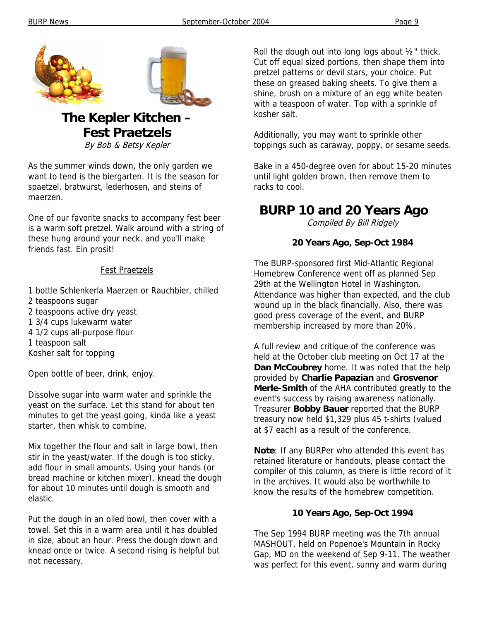

# **The Kepler Kitchen – Fest Praetzels**

By Bob & Betsy Kepler

As the summer winds down, the only garden we want to tend is the biergarten. It is the season for spaetzel, bratwurst, lederhosen, and steins of maerzen.

One of our favorite snacks to accompany fest beer is a warm soft pretzel. Walk around with a string of these hung around your neck, and you'll make friends fast. Ein prosit!

#### Fest Praetzels

- 1 bottle Schlenkerla Maerzen or Rauchbier, chilled 2 teaspoons sugar
- 2 teaspoons active dry yeast
- 1 3/4 cups lukewarm water
- 4 1/2 cups all-purpose flour
- 1 teaspoon salt
- Kosher salt for topping

Open bottle of beer, drink, enjoy.

Dissolve sugar into warm water and sprinkle the yeast on the surface. Let this stand for about ten minutes to get the yeast going, kinda like a yeast starter, then whisk to combine.

Mix together the flour and salt in large bowl, then stir in the yeast/water. If the dough is too sticky, add flour in small amounts. Using your hands (or bread machine or kitchen mixer), knead the dough for about 10 minutes until dough is smooth and elastic.

Put the dough in an oiled bowl, then cover with a towel. Set this in a warm area until it has doubled in size, about an hour. Press the dough down and knead once or twice. A second rising is helpful but not necessary.

Roll the dough out into long logs about ½" thick. Cut off equal sized portions, then shape them into pretzel patterns or devil stars, your choice. Put these on greased baking sheets. To give them a shine, brush on a mixture of an egg white beaten with a teaspoon of water. Top with a sprinkle of kosher salt.

Additionally, you may want to sprinkle other toppings such as caraway, poppy, or sesame seeds.

Bake in a 450-degree oven for about 15-20 minutes until light golden brown, then remove them to racks to cool.

### **BURP 10 and 20 Years Ago**

Compiled By Bill Ridgely

### **20 Years Ago, Sep-Oct 1984**

The BURP-sponsored first Mid-Atlantic Regional Homebrew Conference went off as planned Sep 29th at the Wellington Hotel in Washington. Attendance was higher than expected, and the club wound up in the black financially. Also, there was good press coverage of the event, and BURP membership increased by more than 20%.

A full review and critique of the conference was held at the October club meeting on Oct 17 at the **Dan McCoubrey** home. It was noted that the help provided by **Charlie Papazian** and **Grosvenor Merle-Smith** of the AHA contributed greatly to the event's success by raising awareness nationally. Treasurer **Bobby Bauer** reported that the BURP treasury now held \$1,329 plus 45 t-shirts (valued at \$7 each) as a result of the conference.

**Note**: If any BURPer who attended this event has retained literature or handouts, please contact the compiler of this column, as there is little record of it in the archives. It would also be worthwhile to know the results of the homebrew competition.

#### **10 Years Ago, Sep-Oct 1994**

The Sep 1994 BURP meeting was the 7th annual MASHOUT, held on Popenoe's Mountain in Rocky Gap, MD on the weekend of Sep 9-11. The weather was perfect for this event, sunny and warm during